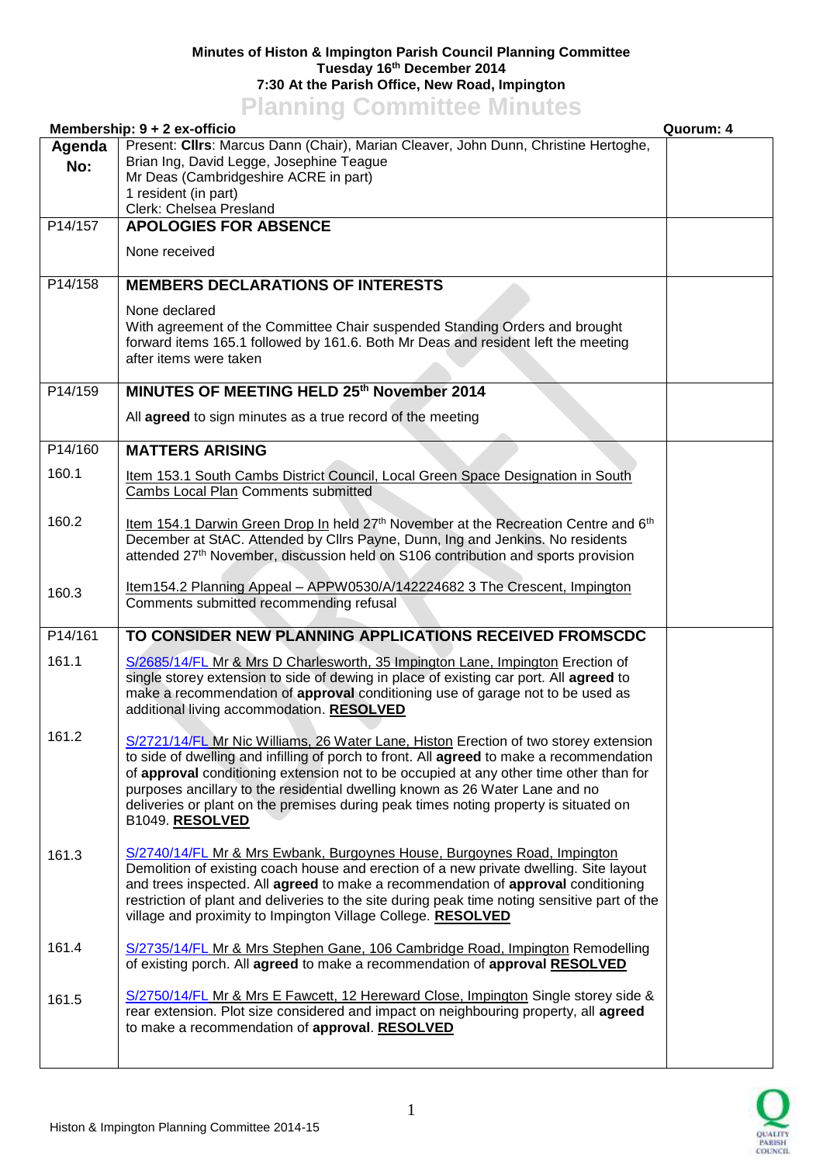## **Minutes of Histon & Impington Parish Council Planning Committee Tuesday 16th December 2014 7:30 At the Parish Office, New Road, Impington Planning Committee Minutes**

|         | <b>TRIBUTE OUTBILICE MILLAGE</b><br>Membership: 9 + 2 ex-officio                                                                                                                              | Quorum: 4 |
|---------|-----------------------------------------------------------------------------------------------------------------------------------------------------------------------------------------------|-----------|
| Agenda  | Present: Cllrs: Marcus Dann (Chair), Marian Cleaver, John Dunn, Christine Hertoghe,                                                                                                           |           |
| No:     | Brian Ing, David Legge, Josephine Teague                                                                                                                                                      |           |
|         | Mr Deas (Cambridgeshire ACRE in part)                                                                                                                                                         |           |
|         | 1 resident (in part)<br>Clerk: Chelsea Presland                                                                                                                                               |           |
| P14/157 | <b>APOLOGIES FOR ABSENCE</b>                                                                                                                                                                  |           |
|         | None received                                                                                                                                                                                 |           |
| P14/158 | <b>MEMBERS DECLARATIONS OF INTERESTS</b>                                                                                                                                                      |           |
|         |                                                                                                                                                                                               |           |
|         | None declared<br>With agreement of the Committee Chair suspended Standing Orders and brought                                                                                                  |           |
|         | forward items 165.1 followed by 161.6. Both Mr Deas and resident left the meeting                                                                                                             |           |
|         | after items were taken                                                                                                                                                                        |           |
| P14/159 | MINUTES OF MEETING HELD 25th November 2014                                                                                                                                                    |           |
|         |                                                                                                                                                                                               |           |
|         | All agreed to sign minutes as a true record of the meeting                                                                                                                                    |           |
| P14/160 | <b>MATTERS ARISING</b>                                                                                                                                                                        |           |
| 160.1   | Item 153.1 South Cambs District Council, Local Green Space Designation in South                                                                                                               |           |
|         | Cambs Local Plan Comments submitted                                                                                                                                                           |           |
| 160.2   |                                                                                                                                                                                               |           |
|         | Item 154.1 Darwin Green Drop In held 27 <sup>th</sup> November at the Recreation Centre and 6 <sup>th</sup><br>December at StAC. Attended by Cllrs Payne, Dunn, Ing and Jenkins. No residents |           |
|         | attended 27th November, discussion held on S106 contribution and sports provision                                                                                                             |           |
|         |                                                                                                                                                                                               |           |
| 160.3   | Item154.2 Planning Appeal - APPW0530/A/142224682 3 The Crescent, Impington                                                                                                                    |           |
|         | Comments submitted recommending refusal                                                                                                                                                       |           |
| P14/161 | TO CONSIDER NEW PLANNING APPLICATIONS RECEIVED FROMSCDC                                                                                                                                       |           |
| 161.1   | S/2685/14/FL Mr & Mrs D Charlesworth, 35 Impington Lane, Impington Erection of                                                                                                                |           |
|         | single storey extension to side of dewing in place of existing car port. All agreed to                                                                                                        |           |
|         | make a recommendation of approval conditioning use of garage not to be used as                                                                                                                |           |
|         | additional living accommodation. RESOLVED                                                                                                                                                     |           |
| 161.2   |                                                                                                                                                                                               |           |
|         | S/2721/14/FL Mr Nic Williams, 26 Water Lane, Histon Erection of two storey extension<br>to side of dwelling and infilling of porch to front. All agreed to make a recommendation              |           |
|         | of approval conditioning extension not to be occupied at any other time other than for                                                                                                        |           |
|         | purposes ancillary to the residential dwelling known as 26 Water Lane and no                                                                                                                  |           |
|         | deliveries or plant on the premises during peak times noting property is situated on                                                                                                          |           |
|         | B1049. RESOLVED                                                                                                                                                                               |           |
| 161.3   | S/2740/14/FL Mr & Mrs Ewbank, Burgoynes House, Burgoynes Road, Impington                                                                                                                      |           |
|         | Demolition of existing coach house and erection of a new private dwelling. Site layout                                                                                                        |           |
|         | and trees inspected. All agreed to make a recommendation of approval conditioning                                                                                                             |           |
|         | restriction of plant and deliveries to the site during peak time noting sensitive part of the<br>village and proximity to Impington Village College. RESOLVED                                 |           |
|         |                                                                                                                                                                                               |           |
| 161.4   | S/2735/14/FL Mr & Mrs Stephen Gane, 106 Cambridge Road, Impington Remodelling                                                                                                                 |           |
|         | of existing porch. All agreed to make a recommendation of approval RESOLVED                                                                                                                   |           |
|         | S/2750/14/FL Mr & Mrs E Fawcett, 12 Hereward Close, Impington Single storey side &                                                                                                            |           |
| 161.5   | rear extension. Plot size considered and impact on neighbouring property, all agreed                                                                                                          |           |
|         | to make a recommendation of approval. RESOLVED                                                                                                                                                |           |
|         |                                                                                                                                                                                               |           |
|         |                                                                                                                                                                                               |           |

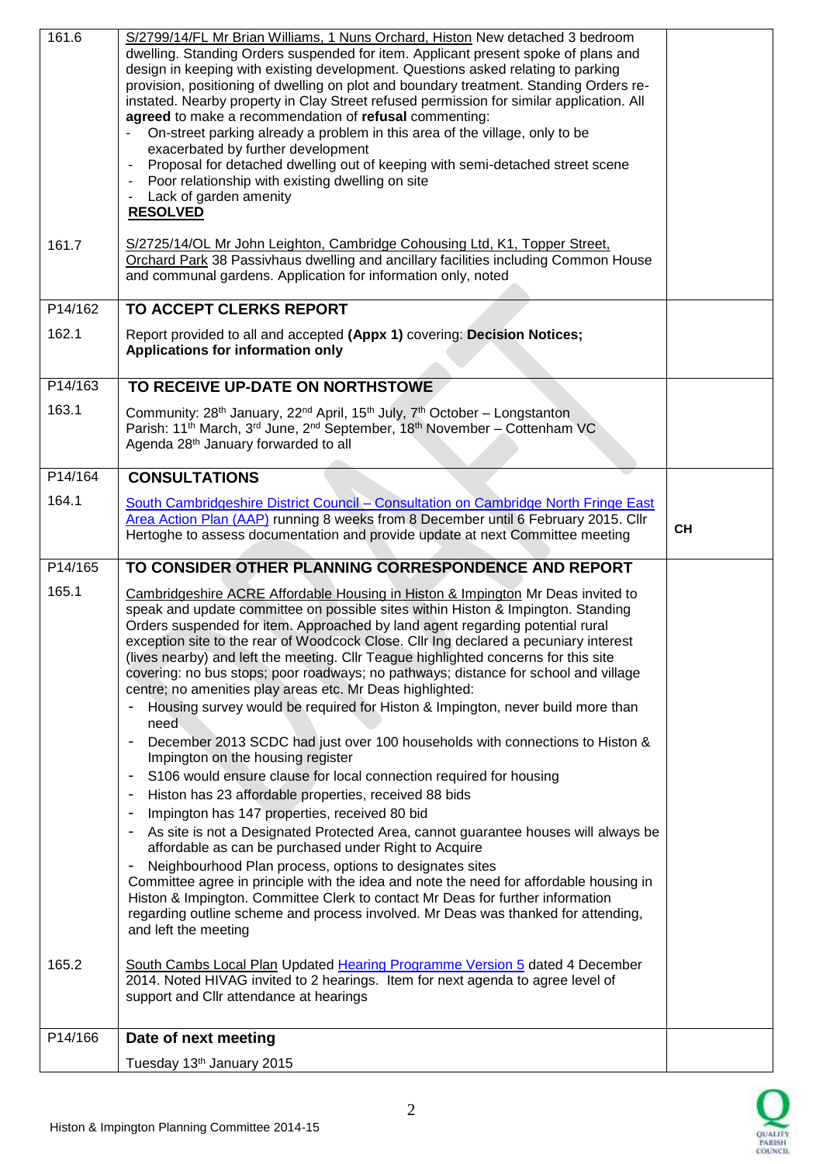| 161.6   | S/2799/14/FL Mr Brian Williams, 1 Nuns Orchard, Histon New detached 3 bedroom<br>dwelling. Standing Orders suspended for item. Applicant present spoke of plans and<br>design in keeping with existing development. Questions asked relating to parking<br>provision, positioning of dwelling on plot and boundary treatment. Standing Orders re-<br>instated. Nearby property in Clay Street refused permission for similar application. All<br>agreed to make a recommendation of refusal commenting:<br>On-street parking already a problem in this area of the village, only to be<br>exacerbated by further development<br>Proposal for detached dwelling out of keeping with semi-detached street scene<br>$\qquad \qquad \blacksquare$<br>Poor relationship with existing dwelling on site<br>$\overline{\phantom{a}}$<br>Lack of garden amenity<br>$\overline{\phantom{a}}$<br><b>RESOLVED</b>        |           |
|---------|---------------------------------------------------------------------------------------------------------------------------------------------------------------------------------------------------------------------------------------------------------------------------------------------------------------------------------------------------------------------------------------------------------------------------------------------------------------------------------------------------------------------------------------------------------------------------------------------------------------------------------------------------------------------------------------------------------------------------------------------------------------------------------------------------------------------------------------------------------------------------------------------------------------|-----------|
| 161.7   | S/2725/14/OL Mr John Leighton, Cambridge Cohousing Ltd, K1, Topper Street,<br>Orchard Park 38 Passivhaus dwelling and ancillary facilities including Common House<br>and communal gardens. Application for information only, noted                                                                                                                                                                                                                                                                                                                                                                                                                                                                                                                                                                                                                                                                            |           |
| P14/162 | TO ACCEPT CLERKS REPORT                                                                                                                                                                                                                                                                                                                                                                                                                                                                                                                                                                                                                                                                                                                                                                                                                                                                                       |           |
| 162.1   | Report provided to all and accepted (Appx 1) covering: Decision Notices;<br>Applications for information only                                                                                                                                                                                                                                                                                                                                                                                                                                                                                                                                                                                                                                                                                                                                                                                                 |           |
| P14/163 | TO RECEIVE UP-DATE ON NORTHSTOWE                                                                                                                                                                                                                                                                                                                                                                                                                                                                                                                                                                                                                                                                                                                                                                                                                                                                              |           |
| 163.1   | Community: 28 <sup>th</sup> January, 22 <sup>nd</sup> April, 15 <sup>th</sup> July, 7 <sup>th</sup> October – Longstanton<br>Parish: 11 <sup>th</sup> March, 3 <sup>rd</sup> June, 2 <sup>nd</sup> September, 18 <sup>th</sup> November - Cottenham VC<br>Agenda 28 <sup>th</sup> January forwarded to all                                                                                                                                                                                                                                                                                                                                                                                                                                                                                                                                                                                                    |           |
| P14/164 | <b>CONSULTATIONS</b>                                                                                                                                                                                                                                                                                                                                                                                                                                                                                                                                                                                                                                                                                                                                                                                                                                                                                          |           |
| 164.1   | South Cambridgeshire District Council - Consultation on Cambridge North Fringe East<br>Area Action Plan (AAP) running 8 weeks from 8 December until 6 February 2015. Cllr<br>Hertoghe to assess documentation and provide update at next Committee meeting                                                                                                                                                                                                                                                                                                                                                                                                                                                                                                                                                                                                                                                    | <b>CH</b> |
|         |                                                                                                                                                                                                                                                                                                                                                                                                                                                                                                                                                                                                                                                                                                                                                                                                                                                                                                               |           |
| P14/165 | TO CONSIDER OTHER PLANNING CORRESPONDENCE AND REPORT                                                                                                                                                                                                                                                                                                                                                                                                                                                                                                                                                                                                                                                                                                                                                                                                                                                          |           |
| 165.1   | Cambridgeshire ACRE Affordable Housing in Histon & Impington Mr Deas invited to<br>speak and update committee on possible sites within Histon & Impington. Standing<br>Orders suspended for item. Approached by land agent regarding potential rural<br>exception site to the rear of Woodcock Close. Cllr Ing declared a pecuniary interest<br>(lives nearby) and left the meeting. Cllr Teague highlighted concerns for this site<br>covering: no bus stops; poor roadways; no pathways; distance for school and village<br>centre; no amenities play areas etc. Mr Deas highlighted:<br>Housing survey would be required for Histon & Impington, never build more than<br>need<br>December 2013 SCDC had just over 100 households with connections to Histon &<br>٠<br>Impington on the housing register<br>S106 would ensure clause for local connection required for housing<br>$\overline{\phantom{a}}$ |           |
|         | Histon has 23 affordable properties, received 88 bids<br>$\blacksquare$                                                                                                                                                                                                                                                                                                                                                                                                                                                                                                                                                                                                                                                                                                                                                                                                                                       |           |
|         | Impington has 147 properties, received 80 bid<br>$\overline{\phantom{a}}$<br>As site is not a Designated Protected Area, cannot guarantee houses will always be<br>$\overline{\phantom{a}}$<br>affordable as can be purchased under Right to Acquire                                                                                                                                                                                                                                                                                                                                                                                                                                                                                                                                                                                                                                                          |           |
|         | Neighbourhood Plan process, options to designates sites<br>Committee agree in principle with the idea and note the need for affordable housing in<br>Histon & Impington. Committee Clerk to contact Mr Deas for further information<br>regarding outline scheme and process involved. Mr Deas was thanked for attending,<br>and left the meeting                                                                                                                                                                                                                                                                                                                                                                                                                                                                                                                                                              |           |
| 165.2   | South Cambs Local Plan Updated Hearing Programme Version 5 dated 4 December<br>2014. Noted HIVAG invited to 2 hearings. Item for next agenda to agree level of<br>support and Cllr attendance at hearings                                                                                                                                                                                                                                                                                                                                                                                                                                                                                                                                                                                                                                                                                                     |           |
| P14/166 | Date of next meeting                                                                                                                                                                                                                                                                                                                                                                                                                                                                                                                                                                                                                                                                                                                                                                                                                                                                                          |           |